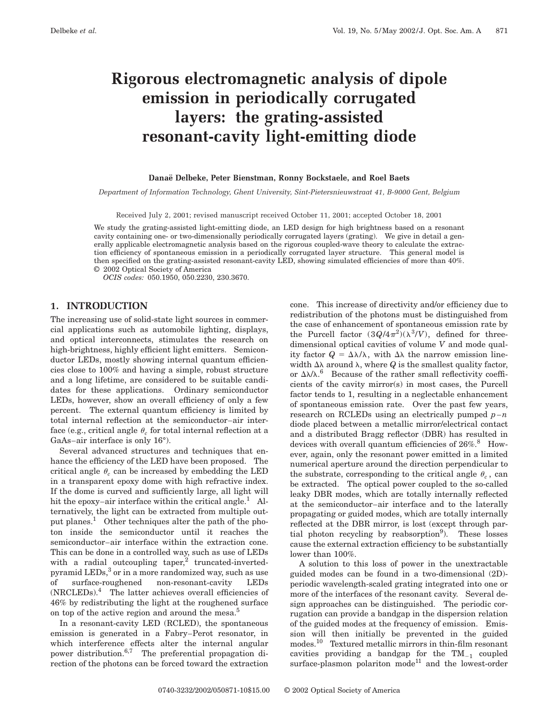# **Rigorous electromagnetic analysis of dipole emission in periodically corrugated layers: the grating-assisted resonant-cavity light-emitting diode**

#### **Danae¨ Delbeke, Peter Bienstman, Ronny Bockstaele, and Roel Baets**

*Department of Information Technology, Ghent University, Sint-Pietersnieuwstraat 41, B-9000 Gent, Belgium*

Received July 2, 2001; revised manuscript received October 11, 2001; accepted October 18, 2001

We study the grating-assisted light-emitting diode, an LED design for high brightness based on a resonant cavity containing one- or two-dimensionally periodically corrugated layers (grating). We give in detail a generally applicable electromagnetic analysis based on the rigorous coupled-wave theory to calculate the extraction efficiency of spontaneous emission in a periodically corrugated layer structure. This general model is then specified on the grating-assisted resonant-cavity LED, showing simulated efficiencies of more than 40%. © 2002 Optical Society of America

*OCIS codes:* 050.1950, 050.2230, 230.3670.

# **1. INTRODUCTION**

The increasing use of solid-state light sources in commercial applications such as automobile lighting, displays, and optical interconnects, stimulates the research on high-brightness, highly efficient light emitters. Semiconductor LEDs, mostly showing internal quantum efficiencies close to 100% and having a simple, robust structure and a long lifetime, are considered to be suitable candidates for these applications. Ordinary semiconductor LEDs, however, show an overall efficiency of only a few percent. The external quantum efficiency is limited by total internal reflection at the semiconductor–air interface (e.g., critical angle  $\theta_c$  for total internal reflection at a GaAs–air interface is only 16°).

Several advanced structures and techniques that enhance the efficiency of the LED have been proposed. The critical angle  $\theta_c$  can be increased by embedding the LED in a transparent epoxy dome with high refractive index. If the dome is curved and sufficiently large, all light will hit the epoxy–air interface within the critical angle.<sup>1</sup> Alternatively, the light can be extracted from multiple output planes.1 Other techniques alter the path of the photon inside the semiconductor until it reaches the semiconductor–air interface within the extraction cone. This can be done in a controlled way, such as use of LEDs with a radial outcoupling taper, $2$  truncated-invertedpyramid LEDs,<sup>3</sup> or in a more randomized way, such as use of surface-roughened non-resonant-cavity LEDs  $(NRCLEDs).$ <sup>4</sup> The latter achieves overall efficiencies of 46% by redistributing the light at the roughened surface on top of the active region and around the mesa.<sup>5</sup>

In a resonant-cavity LED (RCLED), the spontaneous emission is generated in a Fabry–Perot resonator, in which interference effects alter the internal angular power distribution.<sup>6,7</sup> The preferential propagation direction of the photons can be forced toward the extraction cone. This increase of directivity and/or efficiency due to redistribution of the photons must be distinguished from the case of enhancement of spontaneous emission rate by the Purcell factor  $(3Q/4\pi^2)(\lambda^3/V)$ , defined for threedimensional optical cavities of volume *V* and mode quality factor  $Q = \Delta \lambda / \lambda$ , with  $\Delta \lambda$  the narrow emission linewidth  $\Delta\lambda$  around  $\lambda$ , where *Q* is the smallest quality factor, or  $\Delta\lambda/\lambda$ .<sup>6</sup> Because of the rather small reflectivity coefficients of the cavity mirror(s) in most cases, the Purcell factor tends to 1, resulting in a neglectable enhancement of spontaneous emission rate. Over the past few years, research on RCLEDs using an electrically pumped  $p - n$ diode placed between a metallic mirror/electrical contact and a distributed Bragg reflector (DBR) has resulted in devices with overall quantum efficiencies of  $26\%$ .<sup>8</sup> However, again, only the resonant power emitted in a limited numerical aperture around the direction perpendicular to the substrate, corresponding to the critical angle  $\theta_c$ , can be extracted. The optical power coupled to the so-called leaky DBR modes, which are totally internally reflected at the semiconductor–air interface and to the laterally propagating or guided modes, which are totally internally reflected at the DBR mirror, is lost (except through partial photon recycling by reabsorption<sup>9</sup>). These losses cause the external extraction efficiency to be substantially lower than 100%.

A solution to this loss of power in the unextractable guided modes can be found in a two-dimensional (2D) periodic wavelength-scaled grating integrated into one or more of the interfaces of the resonant cavity. Several design approaches can be distinguished. The periodic corrugation can provide a bandgap in the dispersion relation of the guided modes at the frequency of emission. Emission will then initially be prevented in the guided modes.10 Textured metallic mirrors in thin-film resonant cavities providing a bandgap for the  $TM_{-1}$  coupled surface-plasmon polariton mode<sup>11</sup> and the lowest-order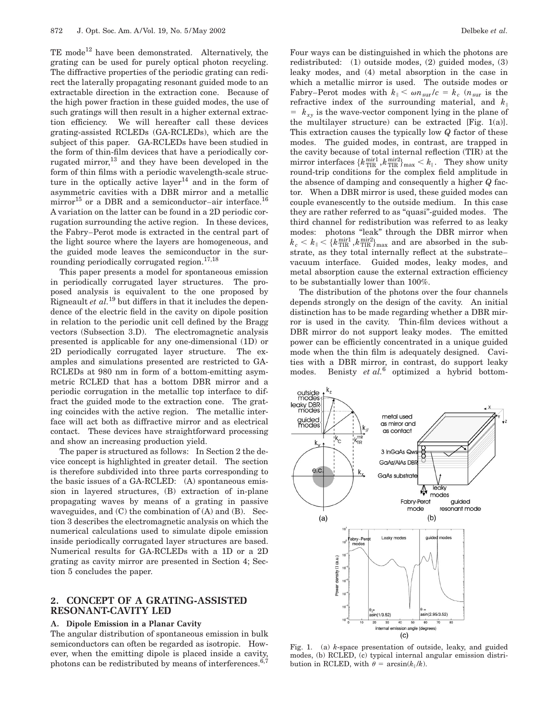TE mode<sup>12</sup> have been demonstrated. Alternatively, the grating can be used for purely optical photon recycling. The diffractive properties of the periodic grating can redirect the laterally propagating resonant guided mode to an extractable direction in the extraction cone. Because of the high power fraction in these guided modes, the use of such gratings will then result in a higher external extraction efficiency. We will hereafter call these devices grating-assisted RCLEDs (GA-RCLEDs), which are the subject of this paper. GA-RCLEDs have been studied in the form of thin-film devices that have a periodically corrugated mirror, $^{13}$  and they have been developed in the form of thin films with a periodic wavelength-scale structure in the optically active layer<sup>14</sup> and in the form of asymmetric cavities with a DBR mirror and a metallic mirror<sup>15</sup> or a DBR and a semiconductor–air interface.<sup>16</sup> A variation on the latter can be found in a 2D periodic corrugation surrounding the active region. In these devices, the Fabry–Perot mode is extracted in the central part of the light source where the layers are homogeneous, and the guided mode leaves the semiconductor in the surrounding periodically corrugated region.<sup>17,18</sup>

This paper presents a model for spontaneous emission in periodically corrugated layer structures. The proposed analysis is equivalent to the one proposed by Rigneault *et al.*<sup>19</sup> but differs in that it includes the dependence of the electric field in the cavity on dipole position in relation to the periodic unit cell defined by the Bragg vectors (Subsection 3.D). The electromagnetic analysis presented is applicable for any one-dimensional (1D) or 2D periodically corrugated layer structure. The examples and simulations presented are restricted to GA-RCLEDs at 980 nm in form of a bottom-emitting asymmetric RCLED that has a bottom DBR mirror and a periodic corrugation in the metallic top interface to diffract the guided mode to the extraction cone. The grating coincides with the active region. The metallic interface will act both as diffractive mirror and as electrical contact. These devices have straightforward processing and show an increasing production yield.

The paper is structured as follows: In Section 2 the device concept is highlighted in greater detail. The section is therefore subdivided into three parts corresponding to the basic issues of a GA-RCLED: (A) spontaneous emission in layered structures, (B) extraction of in-plane propagating waves by means of a grating in passive waveguides, and  $(C)$  the combination of  $(A)$  and  $(B)$ . Section 3 describes the electromagnetic analysis on which the numerical calculations used to simulate dipole emission inside periodically corrugated layer structures are based. Numerical results for GA-RCLEDs with a 1D or a 2D grating as cavity mirror are presented in Section 4; Section 5 concludes the paper.

# **2. CONCEPT OF A GRATING-ASSISTED RESONANT-CAVITY LED**

#### **A. Dipole Emission in a Planar Cavity**

The angular distribution of spontaneous emission in bulk semiconductors can often be regarded as isotropic. However, when the emitting dipole is placed inside a cavity, photons can be redistributed by means of interferences. $6,7$ 

Four ways can be distinguished in which the photons are redistributed: (1) outside modes, (2) guided modes, (3) leaky modes, and (4) metal absorption in the case in which a metallic mirror is used. The outside modes or Fabry–Perot modes with  $k_{\parallel} < \omega n_{\rm sur}/c = k_c$  ( $n_{\rm sur}$  is the refractive index of the surrounding material, and  $k_{\parallel}$  $= k_{xy}$  is the wave-vector component lying in the plane of the multilayer structure) can be extracted [Fig. 1(a)]. This extraction causes the typically low *Q* factor of these modes. The guided modes, in contrast, are trapped in the cavity because of total internal reflection (TIR) at the  $\text{mirror interfaces } \{k_{\text{TIR}}^{\text{mir1}}, k_{\text{TIR}}^{\text{mir2}}\}_{\text{max}} < k_{\parallel}. \ \ \text{ They show unity}$ round-trip conditions for the complex field amplitude in the absence of damping and consequently a higher *Q* factor. When a DBR mirror is used, these guided modes can couple evanescently to the outside medium. In this case they are rather referred to as "quasi"-guided modes. The third channel for redistribution was referred to as leaky modes: photons "leak" through the DBR mirror when  $k_c < k_{\scriptscriptstyle\parallel} < \{k_{\scriptscriptstyle\rm TIR}^{\scriptscriptstyle\rm minr1}, k_{\scriptscriptstyle\rm TIR}^{\scriptscriptstyle\rm minr2}\}_{\scriptscriptstyle\rm max}$  and are absorbed in the substrate, as they total internally reflect at the substrate– vacuum interface. Guided modes, leaky modes, and metal absorption cause the external extraction efficiency to be substantially lower than 100%.

The distribution of the photons over the four channels depends strongly on the design of the cavity. An initial distinction has to be made regarding whether a DBR mirror is used in the cavity. Thin-film devices without a DBR mirror do not support leaky modes. The emitted power can be efficiently concentrated in a unique guided mode when the thin film is adequately designed. Cavities with a DBR mirror, in contrast, do support leaky modes. Benisty *et al.*<sup>6</sup> optimized a hybrid bottom-



Fig. 1. (a) *k*-space presentation of outside, leaky, and guided modes, (b) RCLED, (c) typical internal angular emission distribution in RCLED, with  $\theta = \arcsin(k_{\parallel}/k)$ .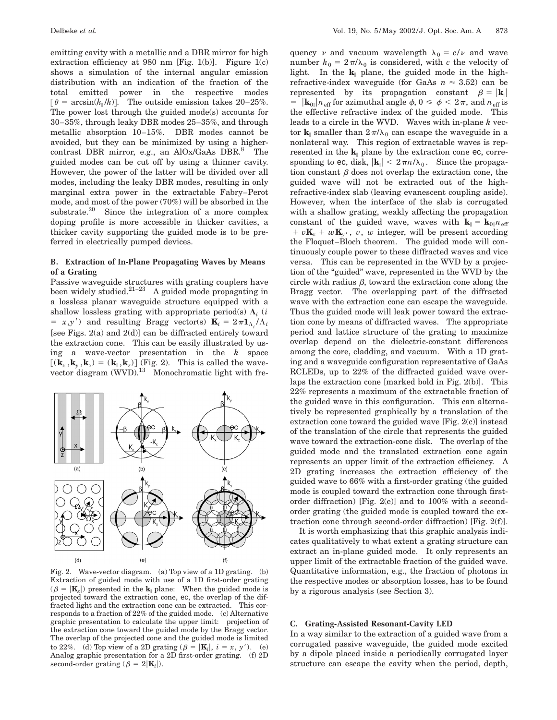emitting cavity with a metallic and a DBR mirror for high extraction efficiency at 980 nm [Fig. 1(b)]. Figure  $1(c)$ shows a simulation of the internal angular emission distribution with an indication of the fraction of the total emitted power in the respective modes  $\lceil \theta = \arcsin(k_{\parallel}/k) \rceil$ . The outside emission takes 20–25%. The power lost through the guided mode(s) accounts for 30–35%, through leaky DBR modes 25–35%, and through metallic absorption 10–15%. DBR modes cannot be avoided, but they can be minimized by using a highercontrast DBR mirror, e.g., an  $A$ lOx/GaAs DBR. $8$  The guided modes can be cut off by using a thinner cavity. However, the power of the latter will be divided over all modes, including the leaky DBR modes, resulting in only marginal extra power in the extractable Fabry–Perot mode, and most of the power (70%) will be absorbed in the substrate.<sup>20</sup> Since the integration of a more complex doping profile is more accessible in thicker cavities, a thicker cavity supporting the guided mode is to be preferred in electrically pumped devices.

# **B. Extraction of In-Plane Propagating Waves by Means of a Grating**

Passive waveguide structures with grating couplers have been widely studied.21–<sup>23</sup> A guided mode propagating in a lossless planar waveguide structure equipped with a shallow lossless grating with appropriate period(s)  $\Lambda_i$  (*i*  $= x, y'$  and resulting Bragg vector(s)  $\mathbf{K}_i = 2 \pi \mathbf{1}_{\Lambda_i} / \Lambda_i$ [see Figs. 2(a) and 2(d)] can be diffracted entirely toward the extraction cone. This can be easily illustrated by using a wave-vector presentation in the *k* space  $[(\mathbf{k}_x, \mathbf{k}_y, \mathbf{k}_z) = (\mathbf{k}_{\parallel}, \mathbf{k}_z)]$  (Fig. 2). This is called the wavevector diagram  $(WVD)$ .<sup>13</sup> Monochromatic light with fre-



Fig. 2. Wave-vector diagram. (a) Top view of a 1D grating. (b) Extraction of guided mode with use of a 1D first-order grating  $(\beta = |K_x|)$  presented in the  $k_{\parallel}$  plane: When the guided mode is projected toward the extraction cone, ec, the overlap of the diffracted light and the extraction cone can be extracted. This corresponds to a fraction of 22% of the guided mode. (c) Alternative graphic presentation to calculate the upper limit: projection of the extraction cone toward the guided mode by the Bragg vector. The overlap of the projected cone and the guided mode is limited to 22%. (d) Top view of a 2D grating  $(\beta = |\mathbf{K}_i|, i = x, y')$ . (e) Analog graphic presentation for a 2D first-order grating. (f) 2D second-order grating ( $\beta = 2|\mathbf{K}_i|$ ).

quency v and vacuum wavelength  $\lambda_0 = c/v$  and wave number  $k_0 = 2\pi/\lambda_0$  is considered, with *c* the velocity of light. In the  $\mathbf{k}_{\parallel}$  plane, the guided mode in the highrefractive-index waveguide (for GaAs  $n \approx 3.52$ ) can be represented by its propagation constant  $\beta = |\mathbf{k}_{\parallel}|$  $=$   $|\mathbf{k}_{0\parallel}|n_{\text{eff}}$  for azimuthal angle  $\phi$ ,  $0 \le \phi < 2\pi$ , and  $n_{\text{eff}}$  is the effective refractive index of the guided mode. This leads to a circle in the WVD. Waves with in-plane *k* vector  $\mathbf{k}_{\parallel}$  smaller than  $2\pi/\lambda_0$  can escape the waveguide in a nonlateral way. This region of extractable waves is represented in the  $\mathbf{k}_{\parallel}$  plane by the extraction cone ec, corresponding to ec, disk,  $|\mathbf{k}\| \leq 2\pi n/\lambda_0$ . Since the propagation constant  $\beta$  does not overlap the extraction cone, the guided wave will not be extracted out of the highrefractive-index slab (leaving evanescent coupling aside). However, when the interface of the slab is corrugated with a shallow grating, weakly affecting the propagation constant of the guided wave, waves with  $\mathbf{k}_{\parallel} = \mathbf{k}_{0\parallel} n_{\text{eff}}$  $v \times v$ **K**<sub>*x*</sub> + *w***K**<sub>*y*</sub>, *v*, *w* integer, will be present according the Floquet–Bloch theorem. The guided mode will continuously couple power to these diffracted waves and vice versa. This can be represented in the WVD by a projection of the "guided" wave, represented in the WVD by the circle with radius  $\beta$ , toward the extraction cone along the Bragg vector. The overlapping part of the diffracted wave with the extraction cone can escape the waveguide. Thus the guided mode will leak power toward the extraction cone by means of diffracted waves. The appropriate period and lattice structure of the grating to maximize overlap depend on the dielectric-constant differences among the core, cladding, and vacuum. With a 1D grating and a waveguide configuration representative of GaAs RCLEDs, up to 22% of the diffracted guided wave overlaps the extraction cone [marked bold in Fig. 2(b)]. This 22% represents a maximum of the extractable fraction of the guided wave in this configuration. This can alternatively be represented graphically by a translation of the extraction cone toward the guided wave [Fig. 2(c)] instead of the translation of the circle that represents the guided wave toward the extraction-cone disk. The overlap of the guided mode and the translated extraction cone again represents an upper limit of the extraction efficiency. A 2D grating increases the extraction efficiency of the guided wave to 66% with a first-order grating (the guided mode is coupled toward the extraction cone through firstorder diffraction) [Fig. 2(e)] and to 100% with a secondorder grating (the guided mode is coupled toward the extraction cone through second-order diffraction) [Fig. 2(f)].

It is worth emphasizing that this graphic analysis indicates qualitatively to what extent a grating structure can extract an in-plane guided mode. It only represents an upper limit of the extractable fraction of the guided wave. Quantitative information, e.g., the fraction of photons in the respective modes or absorption losses, has to be found by a rigorous analysis (see Section 3).

#### **C. Grating-Assisted Resonant-Cavity LED**

In a way similar to the extraction of a guided wave from a corrugated passive waveguide, the guided mode excited by a dipole placed inside a periodically corrugated layer structure can escape the cavity when the period, depth,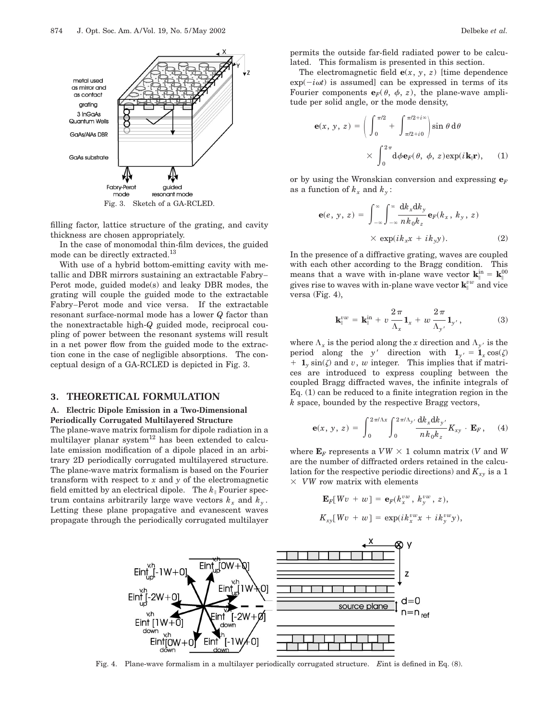

Fig. 3. Sketch of a GA-RCLED.

filling factor, lattice structure of the grating, and cavity thickness are chosen appropriately.

In the case of monomodal thin-film devices, the guided mode can be directly extracted.13

With use of a hybrid bottom-emitting cavity with metallic and DBR mirrors sustaining an extractable Fabry– Perot mode, guided mode(s) and leaky DBR modes, the grating will couple the guided mode to the extractable Fabry–Perot mode and vice versa. If the extractable resonant surface-normal mode has a lower *Q* factor than the nonextractable high-*Q* guided mode, reciprocal coupling of power between the resonant systems will result in a net power flow from the guided mode to the extraction cone in the case of negligible absorptions. The conceptual design of a GA-RCLED is depicted in Fig. 3.

#### **3. THEORETICAL FORMULATION**

#### **A. Electric Dipole Emission in a Two-Dimensional Periodically Corrugated Multilayered Structure**

The plane-wave matrix formalism for dipole radiation in a multilayer planar system<sup>12</sup> has been extended to calculate emission modification of a dipole placed in an arbitrary 2D periodically corrugated multilayered structure. The plane-wave matrix formalism is based on the Fourier transform with respect to *x* and *y* of the electromagnetic field emitted by an electrical dipole. The  $k_{\parallel}$  Fourier spectrum contains arbitrarily large wave vectors  $k_x$  and  $k_y$ . Letting these plane propagative and evanescent waves propagate through the periodically corrugated multilayer

lated. This formalism is presented in this section. The electromagnetic field  $e(x, y, z)$  [time dependence  $\exp(-i\omega t)$  is assumed] can be expressed in terms of its Fourier components  $\mathbf{e}_F(\theta, \phi, z)$ , the plane-wave amplitude per solid angle, or the mode density,

$$
\mathbf{e}(x, y, z) = \left( \int_0^{\pi/2} + \int_{\pi/2 + i\sigma}^{\pi/2 + i\infty} \right) \sin \theta \, d\theta
$$

$$
\times \int_0^{2\pi} d\phi \mathbf{e}_F(\theta, \phi, z) \exp(i\mathbf{k}_\parallel \mathbf{r}), \qquad (1)
$$

or by using the Wronskian conversion and expressing  $\mathbf{e}_F$ as a function of  $k_x$  and  $k_y$ :

$$
\mathbf{e}(e, y, z) = \int_{-\infty}^{\infty} \int_{-\infty}^{\infty} \frac{dk_x dk_y}{nk_0 k_z} \mathbf{e}_F(k_x, k_y, z)
$$

$$
\times \exp(ik_x x + ik_y y). \tag{2}
$$

In the presence of a diffractive grating, waves are coupled with each other according to the Bragg condition. This means that a wave with in-plane wave vector  $\mathbf{k}_{\parallel}^{\text{in}} = \mathbf{k}_{\parallel}^{00}$ gives rise to waves with in-plane wave vector  $\mathbf{k}_{\parallel}^{vw}$  and vice versa (Fig. 4),

$$
\mathbf{k}_{\parallel}^{vw} = \mathbf{k}_{\parallel}^{\text{in}} + v \frac{2 \pi}{\Lambda_x} \mathbf{1}_x + w \frac{2 \pi}{\Lambda_{y'}} \mathbf{1}_{y'}, \qquad (3)
$$

where  $\Lambda_x$  is the period along the *x* direction and  $\Lambda_y$  is the period along the *y*<sup>'</sup> direction with  $\mathbf{1}_{y} = \mathbf{1}_x \cos(\zeta)$  $1$ <sub>*y*</sub> sin( $\zeta$ ) and *v*, *w* integer. This implies that if matrices are introduced to express coupling between the coupled Bragg diffracted waves, the infinite integrals of Eq. (1) can be reduced to a finite integration region in the *k* space, bounded by the respective Bragg vectors,

$$
\mathbf{e}(x, y, z) = \int_0^{2\pi/\Lambda x} \int_0^{2\pi/\Lambda y} \frac{\mathrm{d}k_x \mathrm{d}k_{y'}}{nk_0 k_z} K_{xy} \cdot \mathbf{E}_F, \quad (4)
$$

where  $\mathbf{E}_F$  represents a  $VW \times 1$  column matrix (*V* and *W* are the number of diffracted orders retained in the calculation for the respective periodic directions) and  $K_{xy}$  is a 1  $\times$  *VW* row matrix with elements

$$
\mathbf{E}_F[Wv+w] = \mathbf{e}_F(k_x^{vw}, k_y^{vw}, z),
$$
  

$$
K_{xy}[Wv+w] = \exp(ik_x^{vw}x + ik_y^{vw}y),
$$



Fig. 4. Plane-wave formalism in a multilayer periodically corrugated structure. *E*int is defined in Eq. (8).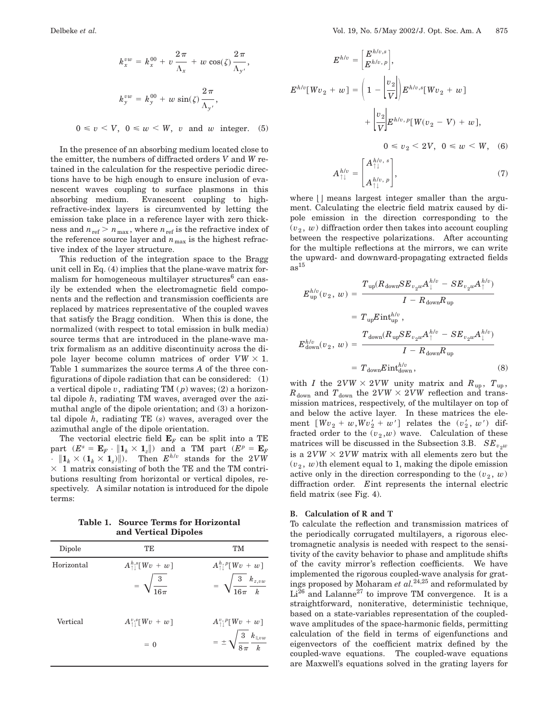$$
k_x^{vw} = k_x^{00} + v \frac{2\pi}{\Lambda_x} + w \cos(\zeta) \frac{2\pi}{\Lambda_{y'}},
$$
  

$$
k_y^{vw} = k_y^{00} + w \sin(\zeta) \frac{2\pi}{\Lambda_{y'}},
$$

 $0 \le v \le V$ ,  $0 \le w \le W$ , *v* and *w* integer. (5)

In the presence of an absorbing medium located close to the emitter, the numbers of diffracted orders *V* and *W* retained in the calculation for the respective periodic directions have to be high enough to ensure inclusion of evanescent waves coupling to surface plasmons in this absorbing medium. Evanescent coupling to highrefractive-index layers is circumvented by letting the emission take place in a reference layer with zero thickness and  $n_{\text{ref}} > n_{\text{max}}$ , where  $n_{\text{ref}}$  is the refractive index of the reference source layer and  $n_{\text{max}}$  is the highest refractive index of the layer structure.

This reduction of the integration space to the Bragg unit cell in Eq. (4) implies that the plane-wave matrix formalism for homogeneous multilayer structures $6$  can easily be extended when the electromagnetic field components and the reflection and transmission coefficients are replaced by matrices representative of the coupled waves that satisfy the Bragg condition. When this is done, the normalized (with respect to total emission in bulk media) source terms that are introduced in the plane-wave matrix formalism as an additive discontinuity across the dipole layer become column matrices of order  $VW \times 1$ . Table 1 summarizes the source terms *A* of the three configurations of dipole radiation that can be considered: (1) a vertical dipole *v*, radiating TM ( *p*) waves; (2) a horizontal dipole *h*, radiating TM waves, averaged over the azimuthal angle of the dipole orientation; and (3) a horizontal dipole *h*, radiating TE (*s*) waves, averaged over the azimuthal angle of the dipole orientation.

The vectorial electric field  $\mathbf{E}_F$  can be split into a TE part  $(E^s = \mathbf{E}_F \cdot ||\mathbf{1}_k \times \mathbf{1}_z||)$  and a TM part  $(E^p = \mathbf{E}_F)$  $\cdot$   $\|\mathbf{1}_k \times (\mathbf{1}_k \times \mathbf{1}_z)\|$ . Then  $E^{h/v}$  stands for the 2*VW*  $\times$  1 matrix consisting of both the TE and the TM contributions resulting from horizontal or vertical dipoles, respectively. A similar notation is introduced for the dipole terms:

**Table 1. Source Terms for Horizontal and Vertical Dipoles**

| Dipole     | TЕ                                                                | <b>TM</b>                                                                                          |
|------------|-------------------------------------------------------------------|----------------------------------------------------------------------------------------------------|
| Horizontal | $A^{h,s}_{\uparrow\downarrow}[Wv+w]$<br>$=\sqrt{\frac{3}{16\pi}}$ | $A_{\uparrow\downarrow}^{h,p}[Wv+w]$<br>$= \sqrt{\frac{3}{16\pi}} \frac{k_{z,vw}}{k}$              |
| Vertical   | $A^{v,s}_{\uparrow\,\vert} [Wv + w]$<br>$= 0$                     | $A_{\uparrow\downarrow}^{v,\,p}[Wv+w]$<br>$= \pm \sqrt{\frac{3}{8\pi}} \frac{k_{\parallel,vw}}{k}$ |

$$
E^{h/v} = \begin{bmatrix} E^{h/v,s} \\ E^{h/v,p} \end{bmatrix},
$$
  
\n
$$
E^{h/v}[Wv_2 + w] = \left(1 - \left|\frac{v_2}{V}\right|\right) E^{h/v,s}[Wv_2 + w]
$$
  
\n
$$
+ \left|\frac{v_2}{V}\right| E^{h/v,p}[W(v_2 - V) + w],
$$
  
\n
$$
0 \le v_2 < 2V, \ 0 \le w < W, \ (6)
$$
  
\n
$$
A_{\uparrow\downarrow}^{h/v} = \begin{bmatrix} A_{\uparrow\downarrow}^{h/v,s} \\ A_{\uparrow\downarrow}^{h/v,p} \end{bmatrix}, \ (7)
$$

where  $\vert \vert$  means largest integer smaller than the argument. Calculating the electric field matrix caused by dipole emission in the direction corresponding to the  $(v_2, w)$  diffraction order then takes into account coupling between the respective polarizations. After accounting for the multiple reflections at the mirrors, we can write the upward- and downward-propagating extracted fields  $as<sup>15</sup>$ 

 $A^{n}{}_{\uparrow\downarrow}$ 

$$
E_{\rm up}^{h/v}(v_2, w) = \frac{T_{\rm up}(R_{\rm down}SE_{v_2w}A_{\perp}^{h/v} - SE_{v_2w}A_{\perp}^{h/v})}{I - R_{\rm down}R_{\rm up}}
$$
  

$$
= T_{\rm up}E{\rm int}_{\rm up}^{h/v},
$$
  

$$
E_{\rm down}^{h/v}(v_2, w) = \frac{T_{\rm down}(R_{\rm up}SE_{v_2w}A_{\perp}^{h/v} - SE_{v_2w}A_{\perp}^{h/v})}{I - R_{\rm down}R_{\rm up}}
$$
  

$$
= T_{\rm down}E{\rm int}_{\rm down}^{h/v}, \tag{8}
$$

with *I* the  $2VW \times 2VW$  unity matrix and  $R_{up}$ ,  $T_{up}$ ,  $R_{\text{down}}$  and  $T_{\text{down}}$  the  $2VW \times 2VW$  reflection and transmission matrices, respectively, of the multilayer on top of and below the active layer. In these matrices the element  $[Wv_2 + w, Wv'_2 + w']$  relates the  $(v'_2, w')$  diffracted order to the  $(v_2, w)$  wave. Calculation of these matrices will be discussed in the Subsection 3.B.  $SE_{v_2w}$ is a  $2VW \times 2VW$  matrix with all elements zero but the  $(v_2, w)$ th element equal to 1, making the dipole emission active only in the direction corresponding to the  $(v_2, w)$ diffraction order. *E*int represents the internal electric field matrix (see Fig. 4).

### **B. Calculation of R and T**

To calculate the reflection and transmission matrices of the periodically corrugated multilayers, a rigorous electromagnetic analysis is needed with respect to the sensitivity of the cavity behavior to phase and amplitude shifts of the cavity mirror's reflection coefficients. We have implemented the rigorous coupled-wave analysis for gratings proposed by Moharam *et al.*24,25 and reformulated by  $Li^{26}$  and Lalanne<sup>27</sup> to improve TM convergence. It is a straightforward, noniterative, deterministic technique, based on a state-variables representation of the coupledwave amplitudes of the space-harmonic fields, permitting calculation of the field in terms of eigenfunctions and eigenvectors of the coefficient matrix defined by the coupled-wave equations. The coupled-wave equations are Maxwell's equations solved in the grating layers for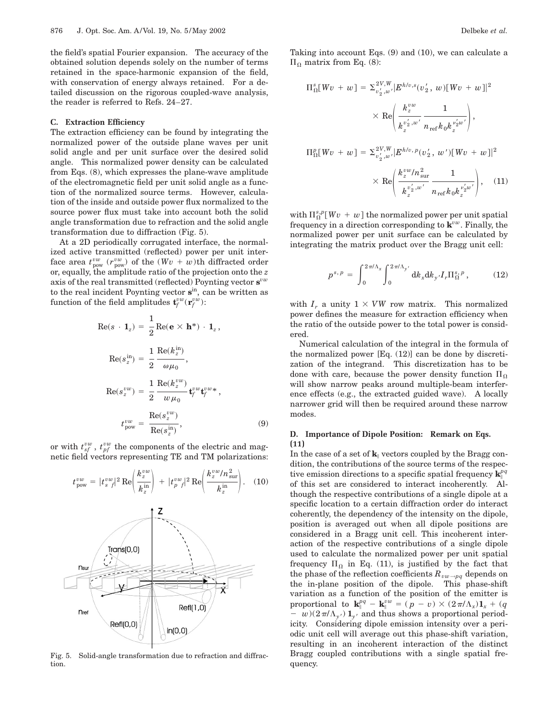the field's spatial Fourier expansion. The accuracy of the obtained solution depends solely on the number of terms retained in the space-harmonic expansion of the field, with conservation of energy always retained. For a detailed discussion on the rigorous coupled-wave analysis, the reader is referred to Refs. 24–27.

#### **C. Extraction Efficiency**

The extraction efficiency can be found by integrating the normalized power of the outside plane waves per unit solid angle and per unit surface over the desired solid angle. This normalized power density can be calculated from Eqs. (8), which expresses the plane-wave amplitude of the electromagnetic field per unit solid angle as a function of the normalized source terms. However, calculation of the inside and outside power flux normalized to the source power flux must take into account both the solid angle transformation due to refraction and the solid angle transformation due to diffraction (Fig. 5).

At a 2D periodically corrugated interface, the normalized active transmitted (reflected) power per unit interface area  $t_{\text{pow}}^{vw}$  ( $r_{\text{pow}}^{vw}$ ) of the ( $Wv + w$ )th diffracted order or, equally, the amplitude ratio of the projection onto the *z* axis of the real transmitted (reflected) Poynting vector **s***vw* to the real incident Poynting vector **s**in, can be written as function of the field amplitudes  $\mathbf{t}^{vw}_f(\mathbf{r}^{vw}_f)$ :

$$
\text{Re}(s \cdot \mathbf{1}_z) = \frac{1}{2} \text{Re}(\mathbf{e} \times \mathbf{h}^*) \cdot \mathbf{1}_z,
$$
\n
$$
\text{Re}(s_z^{\text{in}}) = \frac{1}{2} \frac{\text{Re}(k_z^{\text{in}})}{\omega \mu_0},
$$
\n
$$
\text{Re}(s_z^{\text{v}w}) = \frac{1}{2} \frac{\text{Re}(k_z^{\text{v}w})}{w \mu_0} \mathbf{t}_f^{\text{v}w} \mathbf{t}_f^{\text{v}w*},
$$
\n
$$
t_{\text{pow}}^{\text{v}w} = \frac{\text{Re}(s_z^{\text{v}w})}{\text{Re}(s_z^{\text{in}})},
$$
\n(9)

or with  $t_{sf}^{vw}$ ,  $t_{pf}^{vw}$  the components of the electric and magnetic field vectors representing TE and TM polarizations:

$$
t_{\text{pow}}^{vw} = |t_s^{vw}|^2 \text{ Re} \left( \frac{k_z^{vw}}{k_z^{in}} \right) + |t_p^{vw}|^2 \text{ Re} \left( \frac{k_z^{vw}/n_{\text{sur}}^2}{k_z^{in}} \right). \quad (10)
$$



Fig. 5. Solid-angle transformation due to refraction and diffraction.

Taking into account Eqs. (9) and (10), we can calculate a  $\Pi_{\Omega}$  matrix from Eq. (8):

$$
\Pi_{\Omega}^{s}[Wv + w] = \Sigma_{v_2', w'}^{2V, W} |E^{h/v, s}(v_2', w)[Wv + w]|^2
$$
  
\$\times \text{Re}\left(\frac{k\_z^{vw}}{k\_z^{v\_2', w'}} \frac{1}{n\_{\text{ref}} k\_0 k\_z^{v\_2'w'}}\right),\$  

$$
\Pi_{\Omega}^{p}[Wv + w] = \Sigma_{v_2', w'}^{2V, W} |E^{h/v, p}(v_2', w')[Wv + w]|^2
$$
  
\$\times \text{Re}\left(\frac{k\_z^{vw}/n\_{\text{sur}}^2}{k\_z^{v\_2', w'}} \frac{1}{n\_{\text{ref}} k\_0 k\_z^{v\_2'w'}}\right), \quad (11)\$

with  $\Pi_{\Omega}^{s,p}[Wv + w]$  the normalized power per unit spatial frequency in a direction corresponding to **k***vw*. Finally, the normalized power per unit surface can be calculated by integrating the matrix product over the Bragg unit cell:

$$
p^{s, p} = \int_0^{2\pi/\Lambda_x} \int_0^{2\pi/\Lambda_y} dk_x dk_{y'} I_r \Pi_{\Omega}^{s, p}, \qquad (12)
$$

with  $I_r$  a unity  $1 \times VW$  row matrix. This normalized power defines the measure for extraction efficiency when the ratio of the outside power to the total power is considered.

Numerical calculation of the integral in the formula of the normalized power [Eq. (12)] can be done by discretization of the integrand. This discretization has to be done with care, because the power density function  $\Pi_0$ will show narrow peaks around multiple-beam interference effects (e.g., the extracted guided wave). A locally narrower grid will then be required around these narrow modes.

### **D. Importance of Dipole Position: Remark on Eqs. (11)**

In the case of a set of  $\mathbf{k}_{\parallel}$  vectors coupled by the Bragg condition, the contributions of the source terms of the respective emission directions to a specific spatial frequency  $\mathbf{k}_{\parallel}^{pq}$ of this set are considered to interact incoherently. Although the respective contributions of a single dipole at a specific location to a certain diffraction order do interact coherently, the dependency of the intensity on the dipole, position is averaged out when all dipole positions are considered in a Bragg unit cell. This incoherent interaction of the respective contributions of a single dipole used to calculate the normalized power per unit spatial frequency  $\Pi_{\Omega}$  in Eq. (11), is justified by the fact that the phase of the reflection coefficients  $R_{vw\rightarrow pq}$  depends on the in-plane position of the dipole. This phase-shift variation as a function of the position of the emitter is proportional to  $\mathbf{k}_{\parallel}^{pq} - \mathbf{k}_{\parallel}^{vw} = (p - v) \times (2\pi/\Lambda_x)\mathbf{1}_x + (q - v)$  $-w(2\pi/\Lambda_{y'})\mathbf{1}_{y'}$  and thus shows a proportional periodicity. Considering dipole emission intensity over a periodic unit cell will average out this phase-shift variation, resulting in an incoherent interaction of the distinct Bragg coupled contributions with a single spatial frequency.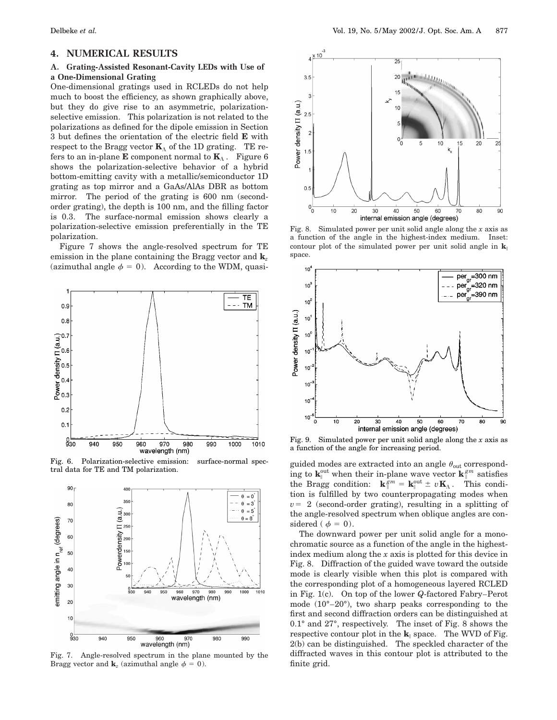# **4. NUMERICAL RESULTS**

#### **A. Grating-Assisted Resonant-Cavity LEDs with Use of a One-Dimensional Grating**

One-dimensional gratings used in RCLEDs do not help much to boost the efficiency, as shown graphically above, but they do give rise to an asymmetric, polarizationselective emission. This polarization is not related to the polarizations as defined for the dipole emission in Section 3 but defines the orientation of the electric field **E** with respect to the Bragg vector  $\mathbf{K}_{\Lambda}$  of the 1D grating. TE refers to an in-plane **E** component normal to  $\mathbf{K}_{\Lambda}$ . Figure 6 shows the polarization-selective behavior of a hybrid bottom-emitting cavity with a metallic/semiconductor 1D grating as top mirror and a GaAs/AlAs DBR as bottom mirror. The period of the grating is 600 nm (secondorder grating), the depth is 100 nm, and the filling factor is 0.3. The surface-normal emission shows clearly a polarization-selective emission preferentially in the TE polarization.

Figure 7 shows the angle-resolved spectrum for TE emission in the plane containing the Bragg vector and **k***<sup>z</sup>* (azimuthal angle  $\phi = 0$ ). According to the WDM, quasi-



Fig. 6. Polarization-selective emission: surface-normal spectral data for TE and TM polarization.



Fig. 7. Angle-resolved spectrum in the plane mounted by the Bragg vector and  $\mathbf{k}_z$  (azimuthal angle  $\phi = 0$ ).



Fig. 8. Simulated power per unit solid angle along the *x* axis as a function of the angle in the highest-index medium. Inset: contour plot of the simulated power per unit solid angle in  $\mathbf{k}_{\parallel}$ space.



Fig. 9. Simulated power per unit solid angle along the *x* axis as a function of the angle for increasing period.

guided modes are extracted into an angle  $\theta_{\rm out}$  corresponding to  $\mathbf{k}_{\parallel}^{\text{out}}$  when their in-plane wave vector  $\mathbf{k}_{\parallel}^{gm}$  satisfies the Bragg condition:  $\mathbf{k}_{\parallel}^{gm} = \mathbf{k}_{\parallel}^{out} \pm v \mathbf{K}_{\Lambda}$ . This condition is fulfilled by two counterpropagating modes when  $v=2$  (second-order grating), resulting in a splitting of the angle-resolved spectrum when oblique angles are considered ( $\phi = 0$ ).

The downward power per unit solid angle for a monochromatic source as a function of the angle in the highestindex medium along the *x* axis is plotted for this device in Fig. 8. Diffraction of the guided wave toward the outside mode is clearly visible when this plot is compared with the corresponding plot of a homogeneous layered RCLED in Fig. 1(c). On top of the lower *Q*-factored Fabry–Perot mode (10°–20°), two sharp peaks corresponding to the first and second diffraction orders can be distinguished at 0.1° and 27°, respectively. The inset of Fig. 8 shows the respective contour plot in the  $\mathbf{k}_{\parallel}$  space. The WVD of Fig. 2(b) can be distinguished. The speckled character of the diffracted waves in this contour plot is attributed to the finite grid.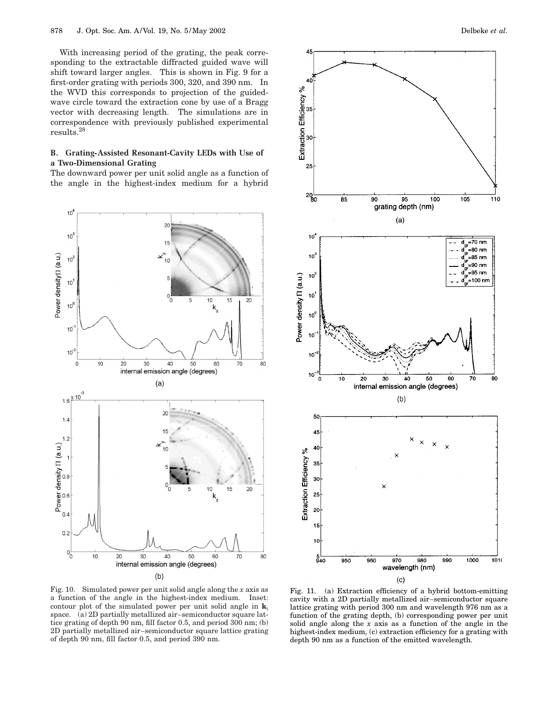With increasing period of the grating, the peak corresponding to the extractable diffracted guided wave will shift toward larger angles. This is shown in Fig. 9 for a first-order grating with periods 300, 320, and 390 nm. In the WVD this corresponds to projection of the guidedwave circle toward the extraction cone by use of a Bragg vector with decreasing length. The simulations are in correspondence with previously published experimental results.28

#### **B. Grating-Assisted Resonant-Cavity LEDs with Use of a Two-Dimensional Grating**

The downward power per unit solid angle as a function of the angle in the highest-index medium for a hybrid





Fig. 10. Simulated power per unit solid angle along the *x* axis as a function of the angle in the highest-index medium. Inset: contour plot of the simulated power per unit solid angle in  $\mathbf{k}_{\parallel}$ space. (a) 2D partially metallized air–semiconductor square lattice grating of depth 90 nm, fill factor 0.5, and period 300 nm; (b) 2D partially metallized air–semiconductor square lattice grating of depth 90 nm, fill factor 0.5, and period 390 nm.

Fig. 11. (a) Extraction efficiency of a hybrid bottom-emitting cavity with a 2D partially metallized air–semiconductor square lattice grating with period 300 nm and wavelength 976 nm as a function of the grating depth, (b) corresponding power per unit solid angle along the *x* axis as a function of the angle in the highest-index medium, (c) extraction efficiency for a grating with depth 90 nm as a function of the emitted wavelength.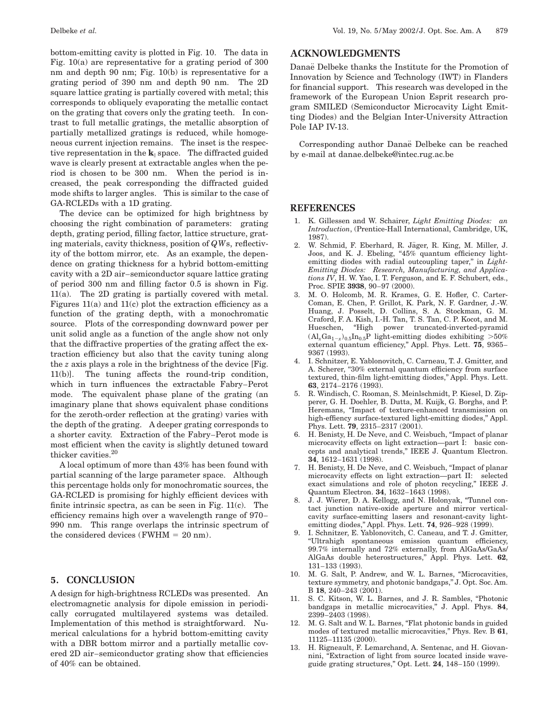bottom-emitting cavity is plotted in Fig. 10. The data in Fig. 10(a) are representative for a grating period of 300 nm and depth 90 nm; Fig. 10(b) is representative for a grating period of 390 nm and depth 90 nm. The 2D square lattice grating is partially covered with metal; this corresponds to obliquely evaporating the metallic contact on the grating that covers only the grating teeth. In contrast to full metallic gratings, the metallic absorption of partially metallized gratings is reduced, while homogeneous current injection remains. The inset is the respective representation in the  $\mathbf{k}_{\parallel}$  space. The diffracted guided wave is clearly present at extractable angles when the period is chosen to be 300 nm. When the period is increased, the peak corresponding the diffracted guided mode shifts to larger angles. This is similar to the case of GA-RCLEDs with a 1D grating.

The device can be optimized for high brightness by choosing the right combination of parameters: grating depth, grating period, filling factor, lattice structure, grating materials, cavity thickness, position of *QW*s, reflectivity of the bottom mirror, etc. As an example, the dependence on grating thickness for a hybrid bottom-emitting cavity with a 2D air–semiconductor square lattice grating of period 300 nm and filling factor 0.5 is shown in Fig. 11(a). The 2D grating is partially covered with metal. Figures  $11(a)$  and  $11(c)$  plot the extraction efficiency as a function of the grating depth, with a monochromatic source. Plots of the corresponding downward power per unit solid angle as a function of the angle show not only that the diffractive properties of the grating affect the extraction efficiency but also that the cavity tuning along the *z* axis plays a role in the brightness of the device [Fig. 11(b)]. The tuning affects the round-trip condition, which in turn influences the extractable Fabry–Perot mode. The equivalent phase plane of the grating (an imaginary plane that shows equivalent phase conditions for the zeroth-order reflection at the grating) varies with the depth of the grating. A deeper grating corresponds to a shorter cavity. Extraction of the Fabry–Perot mode is most efficient when the cavity is slightly detuned toward thicker cavities.20

A local optimum of more than 43% has been found with partial scanning of the large parameter space. Although this percentage holds only for monochromatic sources, the GA-RCLED is promising for highly efficient devices with finite intrinsic spectra, as can be seen in Fig. 11(c). The efficiency remains high over a wavelength range of 970– 990 nm. This range overlaps the intrinsic spectrum of the considered devices (FWHM  $= 20$  nm).

# **5. CONCLUSION**

A design for high-brightness RCLEDs was presented. An electromagnetic analysis for dipole emission in periodically corrugated multilayered systems was detailed. Implementation of this method is straightforward. Numerical calculations for a hybrid bottom-emitting cavity with a DBR bottom mirror and a partially metallic covered 2D air–semiconductor grating show that efficiencies of 40% can be obtained.

# **ACKNOWLEDGMENTS**

Danae¨ Delbeke thanks the Institute for the Promotion of Innovation by Science and Technology (IWT) in Flanders for financial support. This research was developed in the framework of the European Union Esprit research program SMILED (Semiconductor Microcavity Light Emitting Diodes) and the Belgian Inter-University Attraction Pole IAP IV-13.

Corresponding author Danaë Delbeke can be reached by e-mail at danae.delbeke@intec.rug.ac.be

### **REFERENCES**

- 1. K. Gillessen and W. Schairer, *Light Emitting Diodes: an Introduction*, (Prentice-Hall International, Cambridge, UK, 1987).
- 2. W. Schmid, F. Eberhard, R. Jäger, R. King, M. Miller, J. Joos, and K. J. Ebeling, "45% quantum efficiency lightemitting diodes with radial outcoupling taper," in *Light-Emitting Diodes: Research, Manufacturing, and Applications IV*, H. W. Yao, I. T. Ferguson, and E. F. Schubert, eds., Proc. SPIE **3938**, 90–97 (2000).
- 3. M. O. Holcomb, M. R. Krames, G. E. Hofler, C. Carter-Coman, E. Chen, P. Grillot, K. Park, N. F. Gardner, J.-W. Huang, J. Posselt, D. Collins, S. A. Stockman, G. M. Craford, F. A. Kish, I.-H. Tan, T. S. Tan, C. P. Kocot, and M. Hueschen, ''High power truncated-inverted-pyramid  $(Al_xGa_{1-x})_{0.5}In_{0.5}P$  light-emitting diodes exhibiting  $>50\%$ external quantum efficiency,'' Appl. Phys. Lett. **75**, 9365– 9367 (1993).
- 4. I. Schnitzer, E. Yablonovitch, C. Carneau, T. J. Gmitter, and A. Scherer, "30% external quantum efficiency from surface textured, thin-film light-emitting diodes,'' Appl. Phys. Lett. **63**, 2174–2176 (1993).
- 5. R. Windisch, C. Rooman, S. Meinlschmidt, P. Kiesel, D. Zipperer, G. H. Doehler, B. Dutta, M. Kuijk, G. Borghs, and P. Heremans, ''Impact of texture-enhanced transmission on high-effiency surface-textured light-emitting diodes,'' Appl. Phys. Lett. **79**, 2315–2317 (2001).
- 6. H. Benisty, H. De Neve, and C. Weisbuch, ''Impact of planar microcavity effects on light extraction—part I: basic concepts and analytical trends,'' IEEE J. Quantum Electron. **34**, 1612–1631 (1998).
- 7. H. Benisty, H. De Neve, and C. Weisbuch, ''Impact of planar microcavity effects on light extraction—part II: selected exact simulations and role of photon recycling,'' IEEE J. Quantum Electron. **34**, 1632–1643 (1998).
- 8. J. J. Wierer, D. A. Kellogg, and N. Holonyak, ''Tunnel contact junction native-oxide aperture and mirror verticalcavity surface-emitting lasers and resonant-cavity lightemitting diodes,'' Appl. Phys. Lett. **74**, 926–928 (1999).
- 9. I. Schnitzer, E. Yablonovitch, C. Caneau, and T. J. Gmitter, ''Ultrahigh spontaneous emission quantum efficiency, 99.7% internally and 72% externally, from AlGaAs/GaAs/ AlGaAs double heterostructures,'' Appl. Phys. Lett. **62**, 131–133 (1993).
- 10. M. G. Salt, P. Andrew, and W. L. Barnes, ''Microcavities, texture symmetry, and photonic bandgaps,'' J. Opt. Soc. Am. B **18**, 240–243 (2001).
- 11. S. C. Kitson, W. L. Barnes, and J. R. Sambles, "Photonic bandgaps in metallic microcavities,'' J. Appl. Phys. **84**, 2399–2403 (1998).
- 12. M. G. Salt and W. L. Barnes, "Flat photonic bands in guided modes of textured metallic microcavities,'' Phys. Rev. B **61**, 11125–11135 (2000).
- 13. H. Rigneault, F. Lemarchand, A. Sentenac, and H. Giovannini, "Extraction of light from source located inside waveguide grating structures,'' Opt. Lett. **24**, 148–150 (1999).